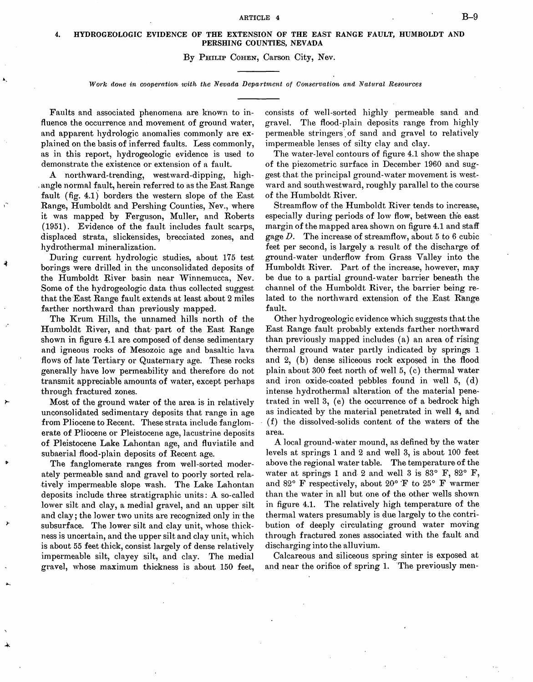## 4. HYDROGEOLOGIC EVIDENCE OF THE EXTENSION OF THE EAST RANGE FAULT, HUMBOLDT AND PERSHING COUNTIES, NEVADA

## By PHILIP COHEN, Carson City, Nev.

## Work done in cooperation with the Nevada Department of Conservation and Natural Resources

Faults and associated phenomena. are known to influence the occurrence and movement of ground water, and apparent hydrologic anomalies commonly are explained on the basis of inferred faults. Less commonly, as in this report, hydrogeologic evidence is used to demonstrate the existence or extension of a fault.

A northward-trending, westward-dipping, high-, angle normal fault, herein referred to as the East Range fault (fig. 4.1) borders the western slope of the East Range, Humboldt and Pershing Counties, Nev., where it was mapped by Ferguson, Muller, and Roberts (1951). Evidence of the fault includes fault scarps, displaced strata, slickensides, brecciated zones, and hydrothermal mineralization.

During current hydrologic studies, about 175 test borings were drilled in the unconsolidated deposits of the Humboldt River basin near Winnemucca, Nev. Some of the hydrogeologic data thus collected suggest that the 'East Range fault extends at least about 2 miles farther northward than previously mapped.

The Krum Hills, the unnamed hills north of the Humboldt River, and that part of the East Range shown in figure 4.1 are composed of dense sedimentary and igneous rocks of Mesozoic age and basaltic lava flows of late Tertiary or Quaternary age. These rocks generally have low permeability and therefore do not transmit appreciable amounts of water, except perhaps through fractured zones.

Most of the ground water of the area is in relatively unconsolidated sedimentary deposits that range in age from Pliocene to Recent. These strata include fanglomerate of Pliocene or Pleistocene age, lacustrine deposits of Pleistocene Lake Lahontan age, and fluviatile and subaerial flood-plain deposits of Recent age.

The fanglomerate ranges from well-sorted moderately permeable sand and gravel to poorly sorted relatively impermeable slope wash. The Lake Lahontan deposits include three stratigraphic units: A so-called lower silt and clay, a medial gravel, and an upper silt and clay; the lower two units are recognized only in the subsurface. The lower silt and clay unit, whose thickness is uncertain, and the upper silt and clay unit, which is about 55 feet thick, consist largely of dense relatively impermeable silt, clayey silt, and clay. The medial gravel, whose maximum thickness is about 150 feet,

consists of well-sorted highly permeable sand and gravel. The flood-plain deposits range from highly permeable stringers of sand and gravel to relatively impermeable lenses of silty clay and clay.

The water-level contours of figure 4.1 show the shape of the piezometric surface in December 1960 and suggest that the principal ground-water movement is westward and southwestward, roughly parallel to the course of the Humboldt River.

Streamflow of the Humboldt River tends to increase, especially during periods of low flow, between the east margin of the mapped area shown on figure 4.1 and staff gage D. The increase of streamflow, about 5 to 6 cubic feet per second, is largely a result of the discharge of ground-water underflow from Grass Valley into the Humboldt River. Part of the increase, however, may be due to a partial ground-water barrier beneath the channel of the Humboldt River, the barrier being related to the northward extension of the East Range fault.

Other hydrogeologic evidence which suggests that the East Range fault probably extends farther northward than previously mapped includes  $(a)$  an area of rising thermal ground water partly indicated by springs 1 and 2, (b) dense siliceous rock exposed in the flood plain about 300 feet north of well 5, (c) thermal water and iron oxide-coated pebbles found in well 5, (d) intense hydrothermal alteration of the material penetrated in well 3, (e) the occurrence of a bedrock high as indicated by the material penetrated in well 4, and (f) the dissolved-solids content of the waters of the area.

A local ground-water mound, as defined by the water levels at springs 1 and 2 and well 3, is about 100 feet above the regional water table. The temperature of the water at springs 1 and 2 and well 3 is  $83^{\circ}$  F,  $82^{\circ}$  F, and 82° F respectively, about 20° F to 25° F warmer than the water in all but one of the other wells shown in figure 4.1. The relatively high temperature of the thermal waters presumably is due largely to the contribution of deeply circulating ground water moving through fractured zones associated with the fault and discharging into the alluvium.

Calcareous and siliceous spring sinter is exposed at and near the orifice of spring 1. 'The previously men-